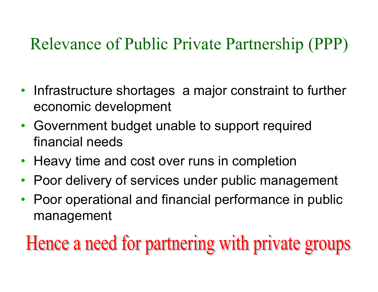#### Relevance of Public Private Partnership (PPP)

- Infrastructure shortages a major constraint to further economic development
- $\bullet$  Government budget unable to support required financial needs
- Heavy time and cost over runs in completion
- $\bullet$ Poor delivery of services under public management
- Poor operational and financial performance in public management

Hence a need for partnering with private groups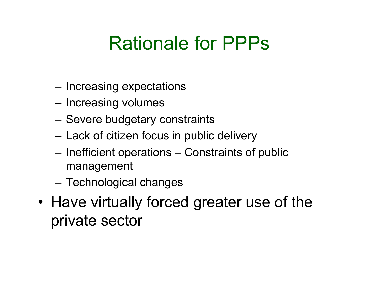# Rationale for PPPs

- Increasing expectations
- Increasing volumes
- Severe budgetary constraints
- Lack of citizen focus in public delivery
- Inefficient operations Constraints of public management
- –Technological changes
- •Have virtually forced greater use of the private sector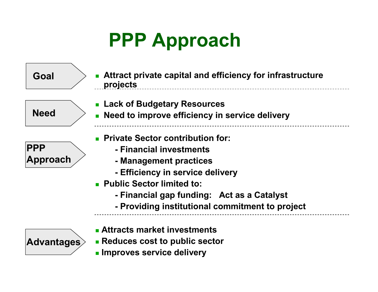# **PPP Approach**

 **Lack of Budgetary Resources Need to improve efficiency in service delivery Attract private capital and efficiency for infrastructure projects Private Sector contribution for: - Financial investments - Management practices - Efficiency in service delivery Public Sector limited to: - Financial gap funding: Act as a Catalyst - Providing institutional commitment to project PPP ApproachNeedGoal**

- **Attracts market investmentsAdvantages**
	- **Reduces cost to public sector Improves service delivery**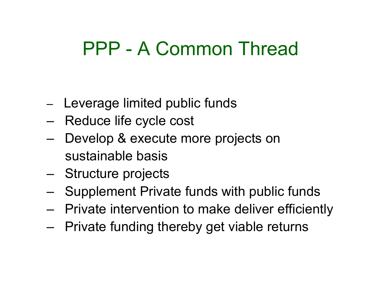# PPP - A Common Thread

- Leverage limited public funds
- –Reduce life cycle cost
- – Develop & execute more projects on sustainable basis
- –Structure projects
- –Supplement Private funds with public funds
- –Private intervention to make deliver efficiently
- –Private funding thereby get viable returns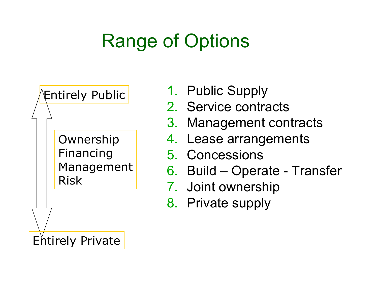# Range of Options



- 1. Public Supply
- 2. Service contracts
- 3. Management contracts
- 4. Lease arrangements
- 5. Concessions
- 6. Build Operate Transfer<br>7. Jaint eurograbin
- 7. Joint ownership
- 8. Private supply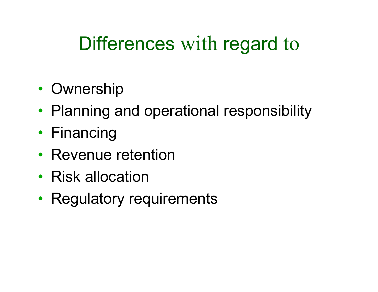# Differences with regard to

- •• Ownership
- Planning and operational responsibility
- Financing
- Revenue retention
- Risk allocation
- Regulatory requirements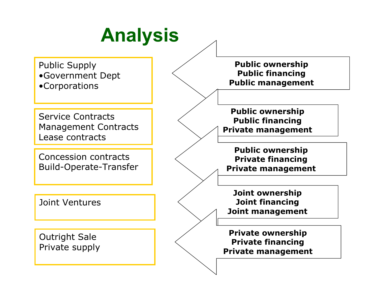# **Analysis**

Public Supply •Government Dept•Corporations

Service Contracts Management ContractsLease contracts

Concession contractsBuild-Operate-Transfer

Joint Ventures

Outright SalePrivate supply

**Public ownership Public financingPublic management**

**Public ownership Public financingPrivate management**

**Public ownership Private financingPrivate management**

**Joint ownership Joint financingJoint management**

**Private ownership Private financingPrivate management**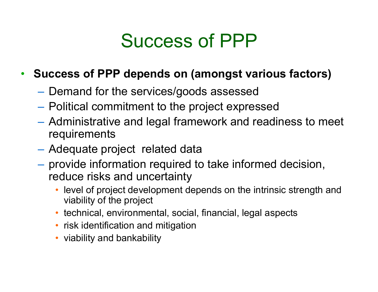#### Success of PPP

#### • **Success of PPP depends on (amongst various factors)**

- $-$  Demand for the services/goods assessed
- $-$  Political commitment to the project expressed
- $\mathcal{L}_{\mathcal{A}}$  , and the set of the set of the set of the set of the set of the set of the set of the set of the set of the set of the set of the set of the set of the set of the set of the set of the set of the set of th Administrative and legal framework and readiness to meet requirements
- Adequate project related data
- provide information required to take informed decision, reduce risks and uncertainty
	- level of project development depends on the intrinsic strength and viability of the project
	- technical, environmental, social, financial, legal aspects
	- risk identification and mitigation
	- viability and bankability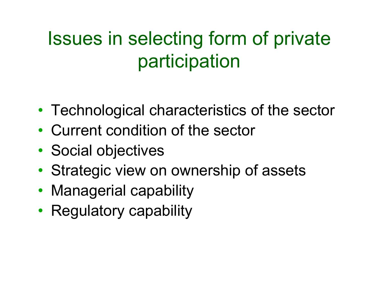# Issues in selecting form of private participation

- •Technological characteristics of the sector
- •Current condition of the sector
- •• Social objectives
- •Strategic view on ownership of assets
- Managerial capability
- Regulatory capability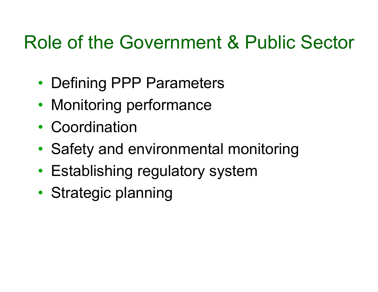### Role of the Government & Public Sector

- •Defining PPP Parameters
- •Monitoring performance
- •• Coordination
- •Safety and environmental monitoring
- Establishing regulatory system
- •• Strategic planning